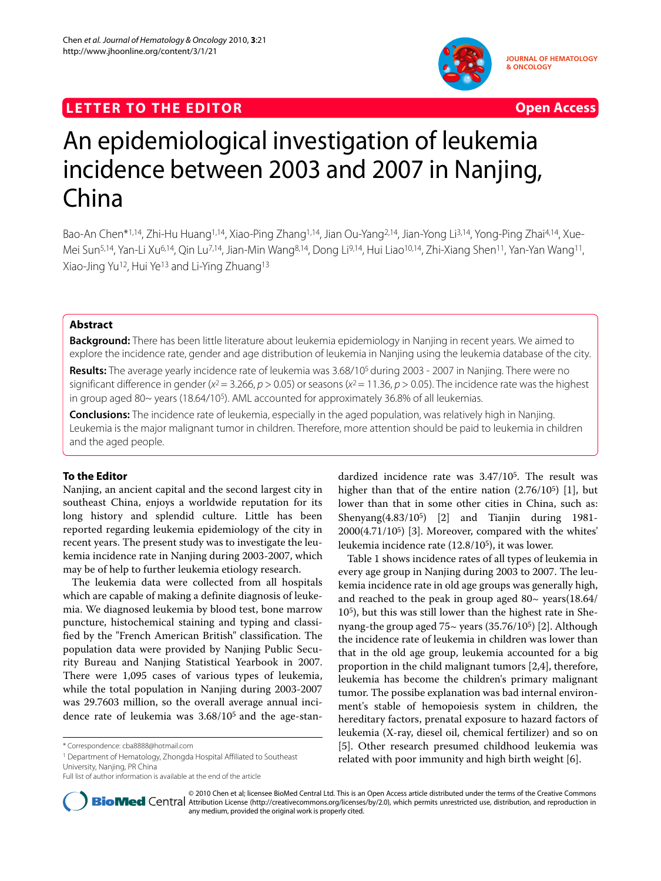## **LETTER TO THE EDITOR CONSTRUCTER TO THE EDITOR**



**JOURNAL OF HEMATOLOGY & ONCOLOGY**

# An epidemiological investigation of leukemia incidence between 2003 and 2007 in Nanjing, China

Bao-An Chen\*1,14, Zhi-Hu Huang1,14, Xiao-Ping Zhang1,14, Jian Ou-Yang2,14, Jian-Yong Li3,14, Yong-Ping Zhai4,14, Xue-Mei Sun5,14, Yan-Li Xu6,14, Qin Lu7,14, Jian-Min Wang8,14, Dong Li9,14, Hui Liao10,14, Zhi-Xiang Shen11, Yan-Yan Wang11, Xiao-Jing Yu12, Hui Ye13 and Li-Ying Zhuang13

## **Abstract**

**Background:** There has been little literature about leukemia epidemiology in Nanjing in recent years. We aimed to explore the incidence rate, gender and age distribution of leukemia in Nanjing using the leukemia database of the city.

**Results:** The average yearly incidence rate of leukemia was 3.68/105 during 2003 - 2007 in Nanjing. There were no significant difference in gender ( $x^2$  = 3.266,  $p$  > 0.05) or seasons ( $x^2$  = 11.36,  $p$  > 0.05). The incidence rate was the highest in group aged 80~ years (18.64/105). AML accounted for approximately 36.8% of all leukemias.

**Conclusions:** The incidence rate of leukemia, especially in the aged population, was relatively high in Nanjing. Leukemia is the major malignant tumor in children. Therefore, more attention should be paid to leukemia in children and the aged people.

## **To the Editor**

Nanjing, an ancient capital and the second largest city in southeast China, enjoys a worldwide reputation for its long history and splendid culture. Little has been reported regarding leukemia epidemiology of the city in recent years. The present study was to investigate the leukemia incidence rate in Nanjing during 2003-2007, which may be of help to further leukemia etiology research.

The leukemia data were collected from all hospitals which are capable of making a definite diagnosis of leukemia. We diagnosed leukemia by blood test, bone marrow puncture, histochemical staining and typing and classified by the "French American British" classification. The population data were provided by Nanjing Public Security Bureau and Nanjing Statistical Yearbook in 2007. There were 1,095 cases of various types of leukemia, while the total population in Nanjing during 2003-2007 was 29.7603 million, so the overall average annual incidence rate of leukemia was 3.68/105 and the age-stan-

1 Department of Hematology, Zhongda Hospital Affiliated to Southeast University, Nanjing, PR China

dardized incidence rate was 3.47/105. The result was higher than that of the entire nation (2.76/105) [[1\]](#page-2-0), but lower than that in some other cities in China, such as: Shenyang(4.83/105) [\[2](#page-2-1)] and Tianjin during 1981- 2000(4.71/105) [[3\]](#page-2-2). Moreover, compared with the whites' leukemia incidence rate (12.8/105), it was lower.

Table 1 shows incidence rates of all types of leukemia in every age group in Nanjing during 2003 to 2007. The leukemia incidence rate in old age groups was generally high, and reached to the peak in group aged  $80 \sim$  years(18.64/ 105), but this was still lower than the highest rate in Shenyang-the group aged 75~ years (35.76/105) [\[2](#page-2-1)]. Although the incidence rate of leukemia in children was lower than that in the old age group, leukemia accounted for a big proportion in the child malignant tumors [\[2](#page-2-1)[,4](#page-2-3)], therefore, leukemia has become the children's primary malignant tumor. The possibe explanation was bad internal environment's stable of hemopoiesis system in children, the hereditary factors, prenatal exposure to hazard factors of leukemia (X-ray, diesel oil, chemical fertilizer) and so on [[5\]](#page-2-4). Other research presumed childhood leukemia was related with poor immunity and high birth weight [\[6](#page-2-5)].



© 2010 Chen et al; licensee BioMed Central Ltd. This is an Open Access article distributed under the terms of the Creative Commons Bio Med Central Attribution License (http://creativecommons.org/licenses/by/2.0), which permits unrestricted use, distribution, and reproduction in any medium, provided the original work is properly cited.

<sup>\*</sup> Correspondence: cba8888@hotmail.com

Full list of author information is available at the end of the article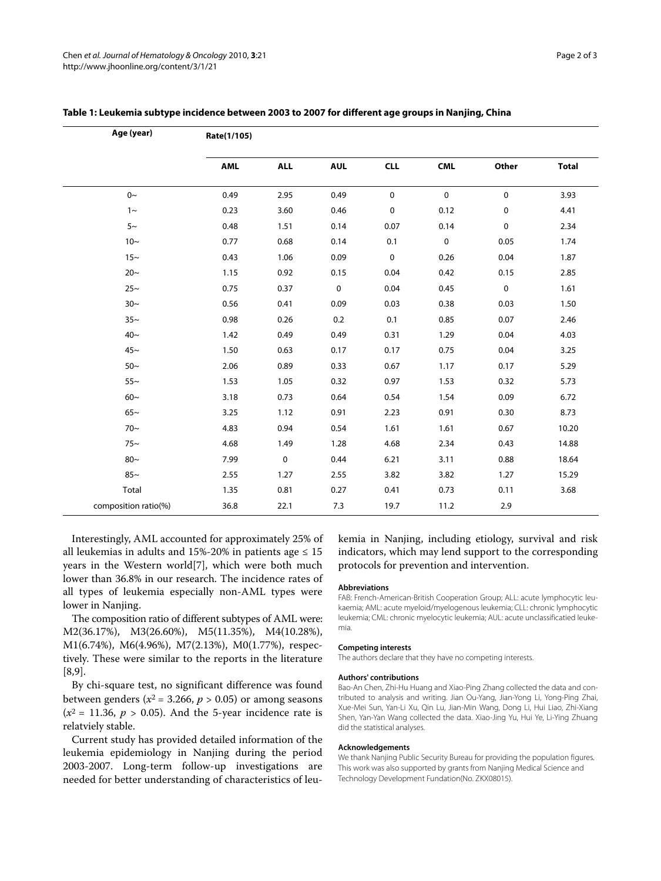| Age (year)           | Rate(1/105) |             |             |             |             |             |              |
|----------------------|-------------|-------------|-------------|-------------|-------------|-------------|--------------|
|                      | AML         | <b>ALL</b>  | <b>AUL</b>  | <b>CLL</b>  | <b>CML</b>  | Other       | <b>Total</b> |
| $0\sim$              | 0.49        | 2.95        | 0.49        | $\mathbf 0$ | $\mathbf 0$ | $\mathbf 0$ | 3.93         |
| $1\sim$              | 0.23        | 3.60        | 0.46        | $\mathbf 0$ | 0.12        | 0           | 4.41         |
| $5~\sim$             | 0.48        | 1.51        | 0.14        | 0.07        | 0.14        | $\pmb{0}$   | 2.34         |
| $10-$                | 0.77        | 0.68        | 0.14        | 0.1         | $\pmb{0}$   | 0.05        | 1.74         |
| $15-$                | 0.43        | 1.06        | 0.09        | $\mathbf 0$ | 0.26        | 0.04        | 1.87         |
| $20-$                | 1.15        | 0.92        | 0.15        | 0.04        | 0.42        | 0.15        | 2.85         |
| $25-$                | 0.75        | 0.37        | $\mathbf 0$ | 0.04        | 0.45        | 0           | 1.61         |
| $30-$                | 0.56        | 0.41        | 0.09        | 0.03        | 0.38        | 0.03        | 1.50         |
| $35-$                | 0.98        | 0.26        | 0.2         | 0.1         | 0.85        | 0.07        | 2.46         |
| $40~\sim$            | 1.42        | 0.49        | 0.49        | 0.31        | 1.29        | 0.04        | 4.03         |
| $45-$                | 1.50        | 0.63        | 0.17        | 0.17        | 0.75        | 0.04        | 3.25         |
| $50-$                | 2.06        | 0.89        | 0.33        | 0.67        | 1.17        | 0.17        | 5.29         |
| $55-$                | 1.53        | 1.05        | 0.32        | 0.97        | 1.53        | 0.32        | 5.73         |
| $60-$                | 3.18        | 0.73        | 0.64        | 0.54        | 1.54        | 0.09        | 6.72         |
| $65-$                | 3.25        | 1.12        | 0.91        | 2.23        | 0.91        | 0.30        | 8.73         |
| $70-$                | 4.83        | 0.94        | 0.54        | 1.61        | 1.61        | 0.67        | 10.20        |
| $75-$                | 4.68        | 1.49        | 1.28        | 4.68        | 2.34        | 0.43        | 14.88        |
| $80-$                | 7.99        | $\mathbf 0$ | 0.44        | 6.21        | 3.11        | 0.88        | 18.64        |
| $85-$                | 2.55        | 1.27        | 2.55        | 3.82        | 3.82        | 1.27        | 15.29        |
| Total                | 1.35        | 0.81        | 0.27        | 0.41        | 0.73        | 0.11        | 3.68         |
| composition ratio(%) | 36.8        | 22.1        | 7.3         | 19.7        | 11.2        | 2.9         |              |

### **Table 1: Leukemia subtype incidence between 2003 to 2007 for different age groups in Nanjing, China**

Interestingly, AML accounted for approximately 25% of all leukemias in adults and 15%-20% in patients age  $\leq 15$ years in the Western world[[7\]](#page-2-6), which were both much lower than 36.8% in our research. The incidence rates of all types of leukemia especially non-AML types were lower in Nanjing.

The composition ratio of different subtypes of AML were: M2(36.17%), M3(26.60%), M5(11.35%), M4(10.28%), M1(6.74%), M6(4.96%), M7(2.13%), M0(1.77%), respectively. These were similar to the reports in the literature [[8,](#page-2-7)[9\]](#page-2-8).

By chi-square test, no significant difference was found between genders ( $x^2$  = 3.266,  $p$  > 0.05) or among seasons  $(x^2 = 11.36, p > 0.05)$ . And the 5-year incidence rate is relatviely stable.

Current study has provided detailed information of the leukemia epidemiology in Nanjing during the period 2003-2007. Long-term follow-up investigations are needed for better understanding of characteristics of leu-

kemia in Nanjing, including etiology, survival and risk indicators, which may lend support to the corresponding protocols for prevention and intervention.

#### **Abbreviations**

FAB: French-American-British Cooperation Group; ALL: acute lymphocytic leukaemia; AML: acute myeloid/myelogenous leukemia; CLL: chronic lymphocytic leukemia; CML: chronic myelocytic leukemia; AUL: acute unclassificatied leukemia.

#### **Competing interests**

The authors declare that they have no competing interests.

#### **Authors' contributions**

Bao-An Chen, Zhi-Hu Huang and Xiao-Ping Zhang collected the data and contributed to analysis and writing. Jian Ou-Yang, Jian-Yong Li, Yong-Ping Zhai, Xue-Mei Sun, Yan-Li Xu, Qin Lu, Jian-Min Wang, Dong Li, Hui Liao, Zhi-Xiang Shen, Yan-Yan Wang collected the data. Xiao-Jing Yu, Hui Ye, Li-Ying Zhuang did the statistical analyses.

#### **Acknowledgements**

We thank Nanjing Public Security Bureau for providing the population figures. This work was also supported by grants from Nanjing Medical Science and Technology Development Fundation(No. ZKX08015).